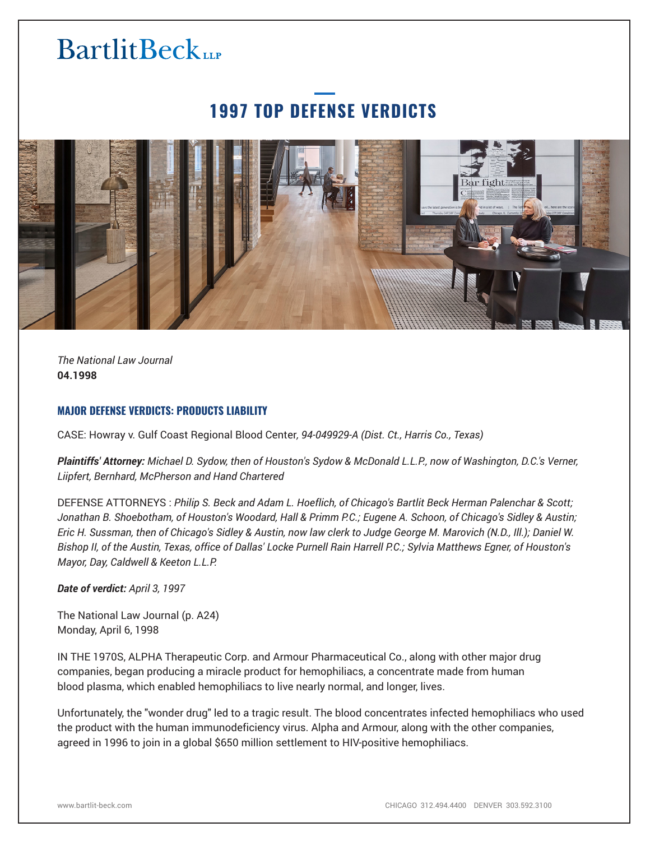# **BartlitBeck**

### **1997 TOP DEFENSE VERDICTS**



*The National Law Journal* **04.1998**

#### **MAJOR DEFENSE VERDICTS: PRODUCTS LIABILITY**

CASE: Howray v. Gulf Coast Regional Blood Center*, 94-049929-A (Dist. Ct., Harris Co., Texas)*

*Plaintiffs' Attorney: Michael D. Sydow, then of Houston's Sydow & McDonald L.L.P., now of Washington, D.C.'s Verner, Liipfert, Bernhard, McPherson and Hand Chartered*

DEFENSE ATTORNEYS : *Philip S. Beck and Adam L. Hoeflich, of Chicago's Bartlit Beck Herman Palenchar & Scott; Jonathan B. Shoebotham, of Houston's Woodard, Hall & Primm P.C.; Eugene A. Schoon, of Chicago's Sidley & Austin; Eric H. Sussman, then of Chicago's Sidley & Austin, now law clerk to Judge George M. Marovich (N.D., Ill.); Daniel W. Bishop II, of the Austin, Texas, office of Dallas' Locke Purnell Rain Harrell P.C.; Sylvia Matthews Egner, of Houston's Mayor, Day, Caldwell & Keeton L.L.P.*

*Date of verdict: April 3, 1997*

The National Law Journal (p. A24) Monday, April 6, 1998

IN THE 1970S, ALPHA Therapeutic Corp. and Armour Pharmaceutical Co., along with other major drug companies, began producing a miracle product for hemophiliacs, a concentrate made from human blood plasma, which enabled hemophiliacs to live nearly normal, and longer, lives.

Unfortunately, the "wonder drug" led to a tragic result. The blood concentrates infected hemophiliacs who used the product with the human immunodeficiency virus. Alpha and Armour, along with the other companies, agreed in 1996 to join in a global \$650 million settlement to HIV-positive hemophiliacs.